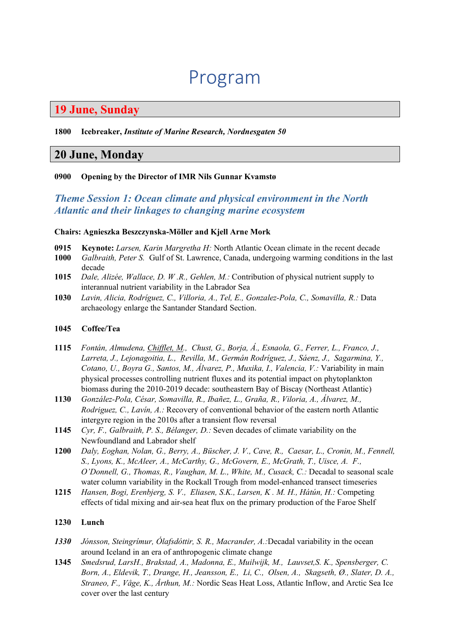# Program

## **19 June, Sunday**

#### **1800 Icebreaker,** *Institute of Marine Research, Nordnesgaten 50*

### **20 June, Monday**

### **0900 Opening by the Director of IMR Nils Gunnar Kvamstø**

### *Theme Session 1: Ocean climate and physical environment in the North Atlantic and their linkages to changing marine ecosystem*

#### **Chairs: Agnieszka Beszczynska-Möller and Kjell Arne Mork**

- **0915 Keynote:** *Larsen, Karin Margretha H:* North Atlantic Ocean climate in the recent decade **1000** *Galbraith. Peter S.* Gulf of St. Lawrence. Canada. undergoing warming conditions in the
- **1000** *Galbraith, Peter S.* Gulf of St. Lawrence, Canada, undergoing warming conditions in the last decade
- **1015** *Dale, Alizée, Wallace, D. W .R., Gehlen, M.:* Contribution of physical nutrient supply to interannual nutrient variability in the Labrador Sea
- **1030** *Lavin, Alicia, Rodríguez, C., Villoria, A., Tel, E., Gonzalez-Pola, C., Somavilla, R.:* Data archaeology enlarge the Santander Standard Section.

#### **1045 Coffee/Tea**

- **1115** *Fontán, Almudena, Chifflet, M., Chust, G., Borja, Á., Esnaola, G., Ferrer, L., Franco, J., Larreta, J., Lejonagoitia, L., Revilla, M., Germán Rodríguez, J., Sáenz, J., Sagarmina, Y., Cotano, U., Boyra G., Santos, M., Álvarez, P., Muxika, I., Valencia, V.:* Variability in main physical processes controlling nutrient fluxes and its potential impact on phytoplankton biomass during the 2010-2019 decade: southeastern Bay of Biscay (Northeast Atlantic)
- **1130** *González-Pola, César, Somavilla, R., Ibañez, L., Graña, R., Viloria, A., Álvarez, M., Rodriguez, C., Lavín, A.:* Recovery of conventional behavior of the eastern north Atlantic intergyre region in the 2010s after a transient flow reversal
- **1145** *Cyr, F., Galbraith, P. S., Bélanger, D.:* Seven decades of climate variability on the Newfoundland and Labrador shelf
- **1200** *Daly, Eoghan, Nolan, G., Berry, A., Büscher, J. V., Cave, R., Caesar, L., Cronin, M., Fennell, S., Lyons, K., McAleer, A., McCarthy, G., McGovern, E., McGrath, T., Uisce, A. F., O'Donnell, G., Thomas, R., Vaughan, M. L., White, M., Cusack, C.:* Decadal to seasonal scale water column variability in the Rockall Trough from model-enhanced transect timeseries
- **1215** *Hansen, Bogi, Erenbjerg, S. V., Eliasen, S.K., Larsen, K . M. H., Hátún, H.:* Competing effects of tidal mixing and air-sea heat flux on the primary production of the Faroe Shelf

### **1230 Lunch**

- *1330 Jónsson, Steingrímur, Ólafsdóttir, S. R., Macrander, A.:*Decadal variability in the ocean around Iceland in an era of anthropogenic climate change
- **1345** *Smedsrud, LarsH., Brakstad, A., Madonna, E., Muilwijk, M., Lauvset,S. K., Spensberger, C. Born, A., Eldevik, T., Drange, H., Jeansson, E., Li, C., Olsen, A., Skagseth, Ø., Slater, D. A., Straneo, F., Våge, K., Årthun, M.:* Nordic Seas Heat Loss, Atlantic Inflow, and Arctic Sea Ice cover over the last century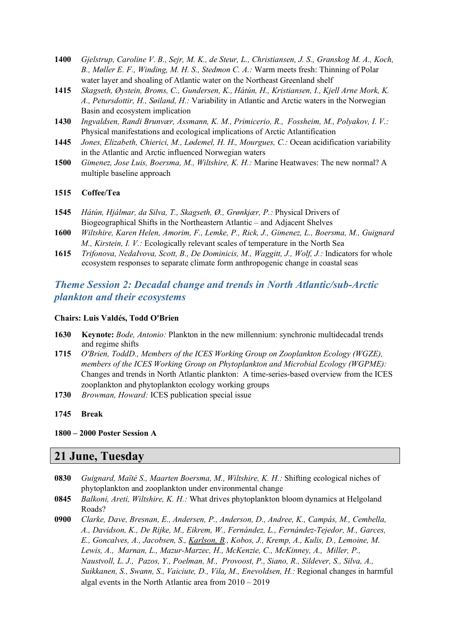- **1400** *Gjelstrup, Caroline V. B., Sejr, M. K., de Steur, L., Christiansen, J. S., Granskog M. A., Koch, B., Møller E. F., Winding, M. H. S., Stedmon C. A.:* Warm meets fresh: Thinning of Polar water layer and shoaling of Atlantic water on the Northeast Greenland shelf
- **1415** *Skagseth, Øystein, Broms, C., Gundersen, K., Hátún, H., Kristiansen, I., Kjell Arne Mork, K. A., Petursdottir, H., Søiland, H.:* Variability in Atlantic and Arctic waters in the Norwegian Basin and ecosystem implication
- **1430** *Ingvaldsen, Randi Brunvær, Assmann, K. M., Primicerio, R., Fossheim, M., Polyakov, I. V.:*  Physical manifestations and ecological implications of Arctic Atlantification
- **1445** *Jones, Elizabeth, Chierici, M., Lødemel, H. H., Mourgues, C.:* Ocean acidification variability in the Atlantic and Arctic influenced Norwegian waters
- **1500** *Gimenez, Jose Luis, Boersma, M., Wiltshire, K. H.:* Marine Heatwaves: The new normal? A multiple baseline approach

#### **1515 Coffee/Tea**

- **1545** *Hátún, Hjálmar, da Silva, T., Skagseth, Ø., Grønkjær, P.:* Physical Drivers of Biogeographical Shifts in the Northeastern Atlantic – and Adjacent Shelves
- **1600** *Wiltshire, Karen Helen, Amorim, F., Lemke, P., Rick, J., Gimenez, L., Boersma, M., Guignard M., Kirstein, I. V.:* Ecologically relevant scales of temperature in the North Sea
- **1615** *Trifonova, NedaIvova, Scott, B., De Dominicis, M., Waggitt, J., Wolf, J.:* Indicators for whole ecosystem responses to separate climate form anthropogenic change in coastal seas

### *Theme Session 2: Decadal change and trends in North Atlantic/sub-Arctic plankton and their ecosystems*

#### **Chairs: Luis Valdés, Todd O'Brien**

- **1630 Keynote:** *Bode, Antonio:* Plankton in the new millennium: synchronic multidecadal trends and regime shifts
- **1715** *O'Brien, ToddD., Members of the ICES Working Group on Zooplankton Ecology (WGZE), members of the ICES Working Group on Phytoplankton and Microbial Ecology (WGPME):* Changes and trends in North Atlantic plankton: A time-series-based overview from the ICES zooplankton and phytoplankton ecology working groups
- **1730** *Browman, Howard:* ICES publication special issue
- **1745 Break**
- **1800 – 2000 Poster Session A**

### **21 June, Tuesday**

- **0830** *Guignard, Maïté S., Maarten Boersma, M., Wiltshire, K. H.:* Shifting ecological niches of phytoplankton and zooplankton under environmental change
- **0845** *Balkoni, Areti, Wiltshire, K. H.:* What drives phytoplankton bloom dynamics at Helgoland Roads?
- **0900** *Clarke, Dave, Bresnan, E., Andersen, P., Anderson, D., Andree, K., Campás, M., Cembella, A., Davidson, K., De Rijke, M., Eikrem, W., Fernández, L., Fernández-Tejedor, M., Garces, E., Goncalves, A., Jacobsen, S., Karlson, B., Kobos, J., Kremp, A., Kulis, D., Lemoine, M. Lewis, A., Marnan, L., Mazur-Marzec, H., McKenzie, C., McKinney, A., Miller, P., Naustvoll, L. J., Pazos, Y., Poelman, M., Provoost, P., Siano, R., Sildever, S., Silva, A., Suikkanen, S., Swann, S., Vaiciute, D., Vila, M., Enevoldsen, H.:* Regional changes in harmful algal events in the North Atlantic area from 2010 – 2019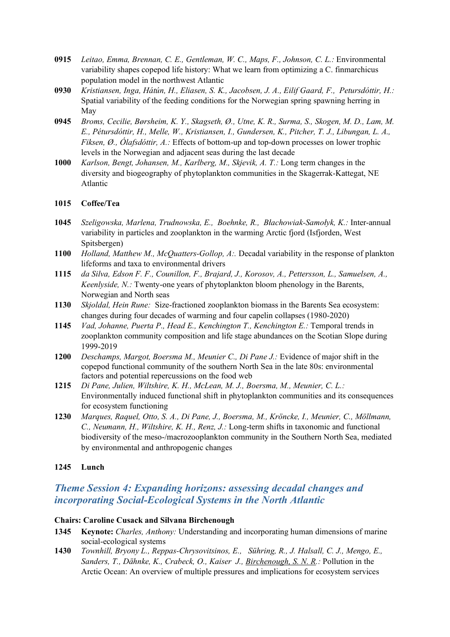- **0915** *Leitao, Emma, Brennan, C. E., Gentleman, W. C., Maps, F., Johnson, C. L.:* Environmental variability shapes copepod life history: What we learn from optimizing a C. finmarchicus population model in the northwest Atlantic
- **0930** *Kristiansen, Inga, Hátún, H., Eliasen, S. K., Jacobsen, J. A., Eilif Gaard, F., Petursdóttir, H.:* Spatial variability of the feeding conditions for the Norwegian spring spawning herring in May
- **0945** *Broms, Cecilie, Børsheim, K. Y., Skagseth, Ø., Utne, K. R., Surma, S., Skogen, M. D., Lam, M. E., Pétursdóttir, H., Melle, W., Kristiansen, I., Gundersen, K., Pitcher, T. J., Libungan, L. A., Fiksen, Ø., Ólafsdóttir, A.:* Effects of bottom-up and top-down processes on lower trophic levels in the Norwegian and adjacent seas during the last decade
- **1000** *Karlson, Bengt, Johansen, M., Karlberg, M., Skjevik, A. T.:* Long term changes in the diversity and biogeography of phytoplankton communities in the Skagerrak-Kattegat, NE Atlantic

### **1015 Coffee/Tea**

- **1045** *Szeligowska, Marlena, Trudnowska, E., Boehnke, R., Błachowiak-Samołyk, K.:* Inter-annual variability in particles and zooplankton in the warming Arctic fjord (Isfjorden, West Spitsbergen)
- **1100** *Holland, Matthew M., McQuatters-Gollop, A:.* Decadal variability in the response of plankton lifeforms and taxa to environmental drivers
- **1115** *da Silva, Edson F. F., Counillon, F., Brajard, J., Korosov, A., Pettersson, L., Samuelsen, A., Keenlyside, N.:* Twenty-one years of phytoplankton bloom phenology in the Barents, Norwegian and North seas
- **1130** *Skjoldal, Hein Rune:* Size-fractioned zooplankton biomass in the Barents Sea ecosystem: changes during four decades of warming and four capelin collapses (1980-2020)
- **1145** *Vad, Johanne, Puerta P., Head E., Kenchington T., Kenchington E.:* Temporal trends in zooplankton community composition and life stage abundances on the Scotian Slope during 1999-2019
- **1200** *Deschamps, Margot, Boersma M., Meunier C., Di Pane J.:* Evidence of major shift in the copepod functional community of the southern North Sea in the late 80s: environmental factors and potential repercussions on the food web
- **1215** *Di Pane, Julien, Wiltshire, K. H., McLean, M. J., Boersma, M., Meunier, C. L.:* Environmentally induced functional shift in phytoplankton communities and its consequences for ecosystem functioning
- **1230** *Marques, Raquel, Otto, S. A., Di Pane, J., Boersma, M., Kröncke, I., Meunier, C., Möllmann, C., Neumann, H., Wiltshire, K. H., Renz, J.:* Long-term shifts in taxonomic and functional biodiversity of the meso-/macrozooplankton community in the Southern North Sea, mediated by environmental and anthropogenic changes

### **1245 Lunch**

### *Theme Session 4: Expanding horizons: assessing decadal changes and incorporating Social-Ecological Systems in the North Atlantic*

#### **Chairs: Caroline Cusack and Silvana Birchenough**

- **1345 Keynote:** *Charles, Anthony:* Understanding and incorporating human dimensions of marine social-ecological systems
- **1430** *Townhill, Bryony L., Reppas-Chrysovitsinos, E., Sühring, R., J. Halsall, C. J., Mengo, E., Sanders, T., Dähnke, K., Crabeck, O., Kaiser J., Birchenough, S. N. R.:* Pollution in the Arctic Ocean: An overview of multiple pressures and implications for ecosystem services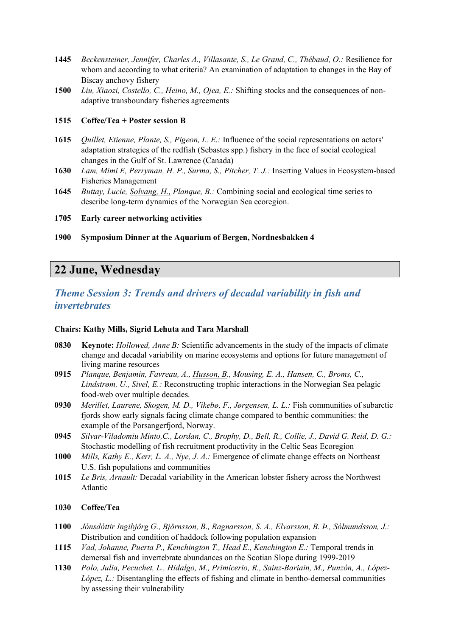- **1445** *Beckensteiner, Jennifer, Charles A., Villasante, S., Le Grand, C., Thébaud, O.:* Resilience for whom and according to what criteria? An examination of adaptation to changes in the Bay of Biscay anchovy fishery
- **1500** *Liu, Xiaozi, Costello, C., Heino, M., Ojea, E.:* Shifting stocks and the consequences of nonadaptive transboundary fisheries agreements

#### **1515 Coffee/Tea + Poster session B**

- **1615** *Quillet, Etienne, Plante, S., Pigeon, L. E.:* Influence of the social representations on actors' adaptation strategies of the redfish (Sebastes spp.) fishery in the face of social ecological changes in the Gulf of St. Lawrence (Canada)
- **1630** *Lam, Mimi E, Perryman, H. P., Surma, S., Pitcher, T. J.:* Inserting Values in Ecosystem-based Fisheries Management
- **1645** *Buttay, Lucie, Solvang, H., Planque, B.:* Combining social and ecological time series to describe long-term dynamics of the Norwegian Sea ecoregion.
- **1705 Early career networking activities**
- **1900 Symposium Dinner at the Aquarium of Bergen, Nordnesbakken 4**

## **22 June, Wednesday**

### *Theme Session 3: Trends and drivers of decadal variability in fish and invertebrates*

#### **Chairs: Kathy Mills, Sigrid Lehuta and Tara Marshall**

- **0830 Keynote:** *Hollowed, Anne B:* Scientific advancements in the study of the impacts of climate change and decadal variability on marine ecosystems and options for future management of living marine resources
- **0915** *Planque, Benjamin, Favreau, A., Husson, B., Mousing, E. A., Hansen, C., Broms, C., Lindstrøm, U., Sivel, E.:* Reconstructing trophic interactions in the Norwegian Sea pelagic food-web over multiple decades.
- **0930** *Merillet, Laurene, Skogen, M. D., Vikebø, F., Jørgensen, L. L.:* Fish communities of subarctic fjords show early signals facing climate change compared to benthic communities: the example of the Porsangerfjord, Norway.
- **0945** *Silvar-Viladomiu Minto,C., Lordan, C., Brophy, D., Bell, R., Collie, J., David G. Reid, D. G.:* Stochastic modelling of fish recruitment productivity in the Celtic Seas Ecoregion
- **1000** *Mills, Kathy E., Kerr, L. A., Nye, J. A.:* Emergence of climate change effects on Northeast U.S. fish populations and communities
- **1015** *Le Bris, Arnault:* Decadal variability in the American lobster fishery across the Northwest Atlantic

#### **1030 Coffee/Tea**

- **1100** *Jónsdóttir Ingibjörg G., Björnsson, B., Ragnarsson, S. A., Elvarsson, B. Þ., Sólmundsson, J.:*  Distribution and condition of haddock following population expansion
- **1115** *Vad, Johanne, Puerta P., Kenchington T., Head E., Kenchington E.:* Temporal trends in demersal fish and invertebrate abundances on the Scotian Slope during 1999-2019
- **1130** *Polo, Julia, Pecuchet, L., Hidalgo, M., Primicerio, R., Sainz-Bariain, M., Punzón, A., López-López, L.:* Disentangling the effects of fishing and climate in bentho-demersal communities by assessing their vulnerability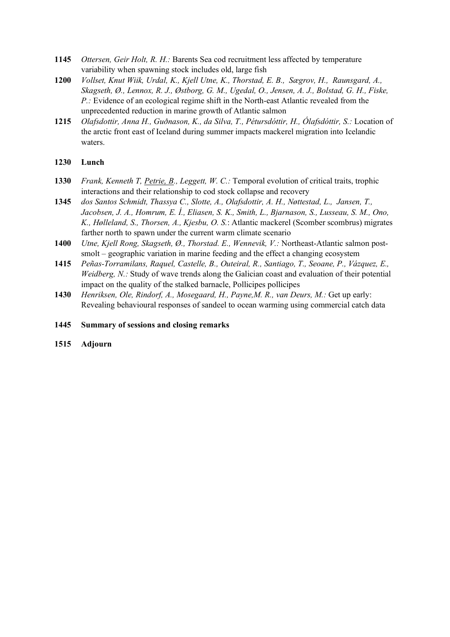- **1145** *Ottersen, Geir Holt, R. H.:* Barents Sea cod recruitment less affected by temperature variability when spawning stock includes old, large fish
- **1200** *Vollset, Knut Wiik, Urdal, K., Kjell Utne, K., Thorstad, E. B., Sægrov, H., Raunsgard, A., Skagseth, Ø., Lennox, R. J., Østborg, G. M., Ugedal, O., Jensen, A. J., Bolstad, G. H., Fiske, P.:* Evidence of an ecological regime shift in the North-east Atlantic revealed from the unprecedented reduction in marine growth of Atlantic salmon
- **1215** *Olafsdottir, Anna H., Guðnason, K., da Silva, T., Pétursdóttir, H., Ólafsdóttir, S.:* Location of the arctic front east of Iceland during summer impacts mackerel migration into Icelandic waters.

### **1230 Lunch**

- **1330** *Frank, Kenneth T, Petrie, B., Leggett, W. C.:* Temporal evolution of critical traits, trophic interactions and their relationship to cod stock collapse and recovery
- **1345** *dos Santos Schmidt, Thassya C., Slotte, A., Olafsdottir, A. H., Nøttestad, L., Jansen, T., Jacobsen, J. A., Homrum, E. Í., Eliasen, S. K., Smith, L., Bjarnason, S., Lusseau, S. M., Ono, K., Hølleland, S., Thorsen, A., Kjesbu, O. S.*: Atlantic mackerel (Scomber scombrus) migrates farther north to spawn under the current warm climate scenario
- **1400** *Utne, Kjell Rong, Skagseth, Ø., Thorstad. E., Wennevik, V.:* Northeast-Atlantic salmon postsmolt – geographic variation in marine feeding and the effect a changing ecosystem
- **1415** *Peñas-Torramilans, Raquel, Castelle, B., Outeiral, R., Santiago, T., Seoane, P., Vázquez, E., Weidberg, N.:* Study of wave trends along the Galician coast and evaluation of their potential impact on the quality of the stalked barnacle, Pollicipes pollicipes
- **1430** *Henriksen, Ole, Rindorf, A., Mosegaard, H., Payne,M. R., van Deurs, M.:* Get up early: Revealing behavioural responses of sandeel to ocean warming using commercial catch data
- **1445 Summary of sessions and closing remarks**
- **1515 Adjourn**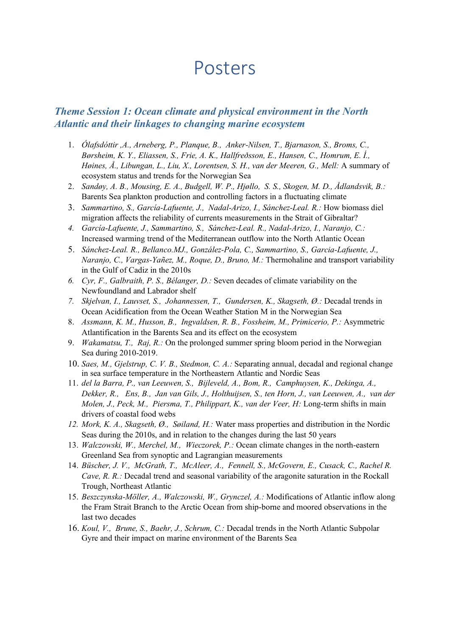# Posters

### *Theme Session 1: Ocean climate and physical environment in the North Atlantic and their linkages to changing marine ecosystem*

- 1. *Ólafsdóttir ,A., Arneberg, P., Planque, B., Anker-Nilsen, T., Bjarnason, S., Broms, C., Børsheim, K. Y., Eliassen, S., Frie, A. K., Hallfreðsson, E., Hansen, C., Homrum, E. Í., Høines, Å., Libungan, L., Liu, X., Lorentsen, S. H., van der Meeren, G., Mell:* A summary of ecosystem status and trends for the Norwegian Sea
- 2. *Sandøy, A. B., Mousing, E. A., Budgell, W. P., Hjøllo, S. S., Skogen, M. D., Ådlandsvik, B.:*  Barents Sea plankton production and controlling factors in a fluctuating climate
- 3. *Sammartino, S., García-Lafuente, J., Nadal-Arizo, I., Sánchez-Leal. R.:* How biomass diel migration affects the reliability of currents measurements in the Strait of Gibraltar?
- *4. García-Lafuente, J., Sammartino, S., Sánchez-Leal. R., Nadal-Arizo, I., Naranjo, C.:*  Increased warming trend of the Mediterranean outflow into the North Atlantic Ocean
- 5. *Sánchez-Leal. R., Bellanco.MJ., González-Pola, C., Sammartino, S., Garcia-Lafuente, J., Naranjo, C., Vargas-Yañez, M., Roque, D., Bruno, M.:* Thermohaline and transport variability in the Gulf of Cadiz in the 2010s
- *6. Cyr, F., Galbraith, P. S., Bélanger, D.:* Seven decades of climate variability on the Newfoundland and Labrador shelf
- *7. Skjelvan, I., Lauvset, S., Johannessen, T., Gundersen, K., Skagseth, Ø.:* Decadal trends in Ocean Acidification from the Ocean Weather Station M in the Norwegian Sea
- 8. *Assmann, K. M., Husson, B., Ingvaldsen, R. B., Fossheim, M., Primicerio, P.:* Asymmetric Atlantification in the Barents Sea and its effect on the ecosystem
- 9. *Wakamatsu, T., Raj, R.:* On the prolonged summer spring bloom period in the Norwegian Sea during 2010-2019.
- 10. *Saes, M., Gjelstrup, C. V. B., Stedmon, C. A.:* Separating annual, decadal and regional change in sea surface temperature in the Northeastern Atlantic and Nordic Seas
- 11. *del la Barra, P., van Leeuwen, S., Bijleveld, A., Bom, R., Camphuysen, K., Dekinga, A., Dekker, R., Ens, B., Jan van Gils, J., Holthuijsen, S., ten Horn, J., van Leeuwen, A., van der Molen, J., Peck, M., Piersma, T., Philippart, K., van der Veer, H:* Long-term shifts in main drivers of coastal food webs
- *12. Mork, K. A., Skagseth, Ø., Søiland, H.:* Water mass properties and distribution in the Nordic Seas during the 2010s, and in relation to the changes during the last 50 years
- 13. *Walczowski, W., Merchel, M., Wieczorek, P.:* Ocean climate changes in the north-eastern Greenland Sea from synoptic and Lagrangian measurements
- 14. *Büscher, J. V., McGrath, T., McAleer, A., Fennell, S., McGovern, E., Cusack, C., Rachel R. Cave, R. R.:* Decadal trend and seasonal variability of the aragonite saturation in the Rockall Trough, Northeast Atlantic
- 15. *Beszczynska-Möller, A., Walczowski, W., Grynczel, A.:* Modifications of Atlantic inflow along the Fram Strait Branch to the Arctic Ocean from ship-borne and moored observations in the last two decades
- 16. *Koul, V., Brune, S., Baehr, J., Schrum, C.:* Decadal trends in the North Atlantic Subpolar Gyre and their impact on marine environment of the Barents Sea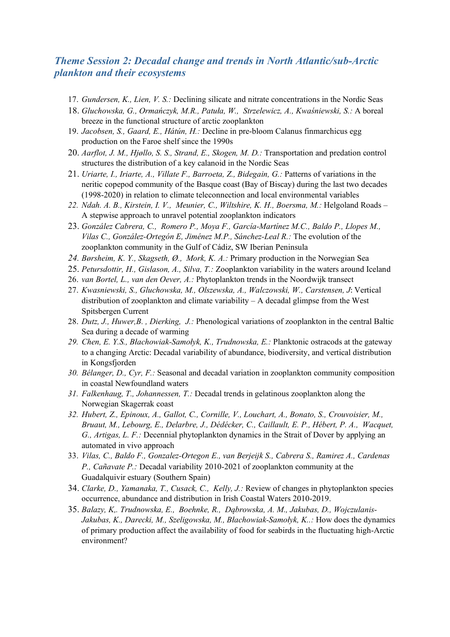### *Theme Session 2: Decadal change and trends in North Atlantic/sub-Arctic plankton and their ecosystems*

- 17. *Gundersen, K., Lien, V. S.:* Declining silicate and nitrate concentrations in the Nordic Seas
- 18. *Gluchowska, G., Ormańczyk, M.R., Patuła, W., Strzelewicz, A., Kwaśniewski, S.:* A boreal breeze in the functional structure of arctic zooplankton
- 19. *Jacobsen, S., Gaard, E., Hátún, H.:* Decline in pre-bloom Calanus finmarchicus egg production on the Faroe shelf since the 1990s
- 20. *Aarflot, J. M., Hjøllo, S. S., Strand, E., Skogen, M. D.:* Transportation and predation control structures the distribution of a key calanoid in the Nordic Seas
- 21. *Uriarte, I., Iriarte, A., Villate F., Barroeta, Z., Bidegain, G.:* Patterns of variations in the neritic copepod community of the Basque coast (Bay of Biscay) during the last two decades (1998-2020) in relation to climate teleconnection and local environmental variables
- 22. *Ndah. A. B., Kirstein, I. V., Meunier, C., Wiltshire, K. H., Boersma, M.: Helgoland Roads* A stepwise approach to unravel potential zooplankton indicators
- 23. *González Cabrera, C., Romero P., Moya F., García-Martínez M.C., Baldo P., Llopes M., Vilas C., González-Ortegón E, Jiménez M.P., Sánchez-Leal R.:* The evolution of the zooplankton community in the Gulf of Cádiz, SW Iberian Peninsula
- *24. Børsheim, K. Y., Skagseth, Ø., Mork, K. A.:* Primary production in the Norwegian Sea
- 25. *Petursdottir, H., Gislason, A., Silva, T.:* Zooplankton variability in the waters around Iceland
- 26. *van Bortel, L., van den Oever, A.:* Phytoplankton trends in the Noordwijk transect
- 27. *Kwasniewski, S., Gluchowska, M., Olszewska, A., Walczowski, W., Carstensen, J*: Vertical distribution of zooplankton and climate variability  $- A$  decadal glimpse from the West Spitsbergen Current
- 28. *Dutz, J., Huwer,B. , Dierking, J.:* Phenological variations of zooplankton in the central Baltic Sea during a decade of warming
- *29. Chen, E. Y.S., Błachowiak-Samołyk, K., Trudnowska, E.:* Planktonic ostracods at the gateway to a changing Arctic: Decadal variability of abundance, biodiversity, and vertical distribution in Kongsfjorden
- *30. Bélanger, D., Cyr, F.:* Seasonal and decadal variation in zooplankton community composition in coastal Newfoundland waters
- *31. Falkenhaug, T., Johannessen, T.:* Decadal trends in gelatinous zooplankton along the Norwegian Skagerrak coast
- *32. Hubert, Z., Epinoux, A., Gallot, C., Cornille, V., Louchart, A., Bonato, S., Crouvoisier, M., Bruaut, M., Lebourg, E., Delarbre, J., Dédécker, C., Caillault, E. P., Hébert, P. A., Wacquet, G., Artigas, L. F.:* Decennial phytoplankton dynamics in the Strait of Dover by applying an automated in vivo approach
- 33. *Vilas, C., Baldo F., Gonzalez-Ortegon E., van Berjeijk S., Cabrera S., Ramirez A., Cardenas P., Cañavate P.:* Decadal variability 2010-2021 of zooplankton community at the Guadalquivir estuary (Southern Spain)
- 34. *Clarke, D., Yamanaka, T., Cusack, C., Kelly, J.:* Review of changes in phytoplankton species occurrence, abundance and distribution in Irish Coastal Waters 2010-2019.
- 35. *Balazy, K,. Trudnowska, E., Boehnke, R., Dąbrowska, A. M., Jakubas, D., Wojczulanis-Jakubas, K., Darecki, M., Szeligowska, M., Błachowiak-Samołyk, K..:* How does the dynamics of primary production affect the availability of food for seabirds in the fluctuating high-Arctic environment?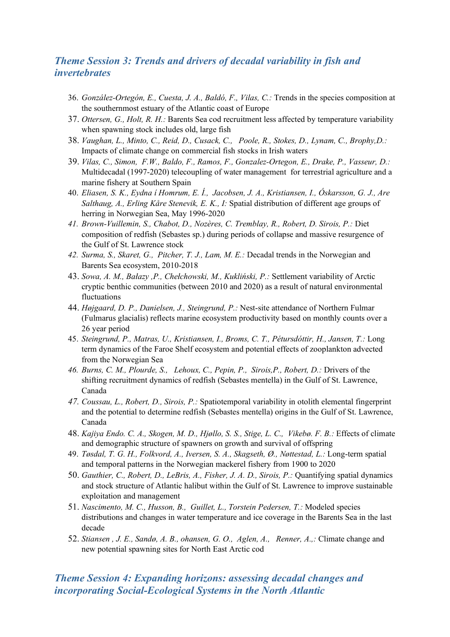### *Theme Session 3: Trends and drivers of decadal variability in fish and invertebrates*

- 36. *González-Ortegón, E., Cuesta, J. A., Baldó, F., Vilas, C.:* Trends in the species composition at the southernmost estuary of the Atlantic coast of Europe
- 37. *Ottersen, G., Holt, R. H.:* Barents Sea cod recruitment less affected by temperature variability when spawning stock includes old, large fish
- 38. *Vaughan, L., Minto, C., Reid, D., Cusack, C., Poole, R., Stokes, D., Lynam, C., Brophy,D.:*  Impacts of climate change on commercial fish stocks in Irish waters
- 39. *Vilas, C., Simon, F.W., Baldo, F., Ramos, F., Gonzalez-Ortegon, E., Drake, P., Vasseur, D.:*  Multidecadal (1997-2020) telecoupling of water management for terrestrial agriculture and a marine fishery at Southern Spain
- 40. *Eliasen, S. K., Eydna í Homrum, E. Í., Jacobsen, J. A., Kristiansen, I., Óskarsson, G. J., Are Salthaug, A., Erling Kåre Stenevik, E. K., I:* Spatial distribution of different age groups of herring in Norwegian Sea, May 1996-2020
- *41. Brown-Vuillemin, S., Chabot, D., Nozères, C. Tremblay, R., Robert, D. Sirois, P.:* Diet composition of redfish (Sebastes sp.) during periods of collapse and massive resurgence of the Gulf of St. Lawrence stock
- *42. Surma, S., Skaret, G., Pitcher, T. J., Lam, M. E.:* Decadal trends in the Norwegian and Barents Sea ecosystem, 2010-2018
- 43. *Sowa, A. M., Bałazy ,P., Chełchowski, M., Kukliński, P.:* Settlement variability of Arctic cryptic benthic communities (between 2010 and 2020) as a result of natural environmental fluctuations
- 44. *Højgaard, D. P., Danielsen, J., Steingrund, P.:* Nest-site attendance of Northern Fulmar (Fulmarus glacialis) reflects marine ecosystem productivity based on monthly counts over a 26 year period
- 45. *Steingrund, P., Matras, U., Kristiansen, I., Broms, C. T., Pétursdóttir, H., Jansen, T.:* Long term dynamics of the Faroe Shelf ecosystem and potential effects of zooplankton advected from the Norwegian Sea
- *46. Burns, C. M., Plourde, S., Lehoux, C., Pepin, P., Sirois,P., Robert, D.:* Drivers of the shifting recruitment dynamics of redfish (Sebastes mentella) in the Gulf of St. Lawrence, Canada
- *47. Coussau, L., Robert, D., Sirois, P.:* Spatiotemporal variability in otolith elemental fingerprint and the potential to determine redfish (Sebastes mentella) origins in the Gulf of St. Lawrence, Canada
- 48. *Kajiya Endo. C. A., Skogen, M. D., Hjøllo, S. S., Stige, L. C., Vikebø. F. B.:* Effects of climate and demographic structure of spawners on growth and survival of offspring
- 49. *Tøsdal, T. G. H., Folkvord, A., Iversen, S. A., Skagseth, Ø., Nøttestad, L.:* Long-term spatial and temporal patterns in the Norwegian mackerel fishery from 1900 to 2020
- 50. *Gauthier, C., Robert, D., LeBris, A., Fisher, J. A. D., Sirois, P.:* Quantifying spatial dynamics and stock structure of Atlantic halibut within the Gulf of St. Lawrence to improve sustainable exploitation and management
- 51. *Nascimento, M. C., Husson, B., Guillet, L., Torstein Pedersen, T.:* Modeled species distributions and changes in water temperature and ice coverage in the Barents Sea in the last decade
- 52. *Stiansen , J. E., Sandø, A. B., ohansen, G. O., Aglen, A., Renner, A.,:* Climate change and new potential spawning sites for North East Arctic cod

### *Theme Session 4: Expanding horizons: assessing decadal changes and incorporating Social-Ecological Systems in the North Atlantic*